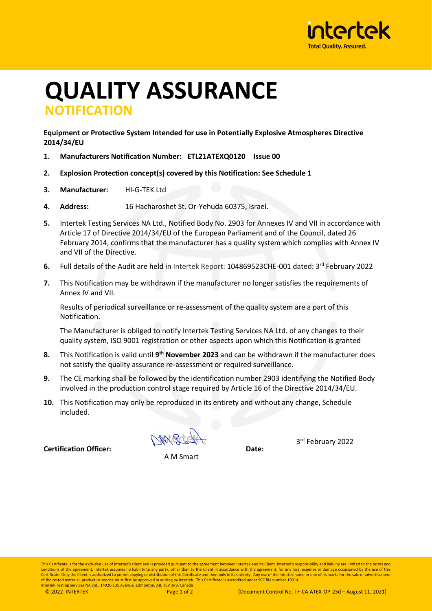

## **QUALITY ASSURANCE NOTIFICATION**

**Equipment or Protective System Intended for use in Potentially Explosive Atmospheres Directive 2014/34/EU**

- **1. Manufacturers Notification Number: ETL21ATEXQ0120 Issue 00**
- **2. Explosion Protection concept(s) covered by this Notification: See Schedule 1**
- **3. Manufacturer:** HI-G-TEK Ltd
- **4. Address:** 16 Hacharoshet St. Or-Yehuda 60375, Israel.
- **5.** Intertek Testing Services NA Ltd., Notified Body No. 2903 for Annexes IV and VII in accordance with Article 17 of Directive 2014/34/EU of the European Parliament and of the Council, dated 26 February 2014, confirms that the manufacturer has a quality system which complies with Annex IV and VII of the Directive.
- **6.** Full details of the Audit are held in Intertek Report: 104869523CHE-001 dated: 3<sup>rd</sup> February 2022
- **7.** This Notification may be withdrawn if the manufacturer no longer satisfies the requirements of Annex IV and VII.

Results of periodical surveillance or re-assessment of the quality system are a part of this Notification.

The Manufacturer is obliged to notify Intertek Testing Services NA Ltd. of any changes to their quality system, ISO 9001 registration or other aspects upon which this Notification is granted

- **8.** This Notification is valid until **9th November 2023** and can be withdrawn if the manufacturer does not satisfy the quality assurance re-assessment or required surveillance.
- **9.** The CE marking shall be followed by the identification number 2903 identifying the Notified Body involved in the production control stage required by Article 16 of the Directive 2014/34/EU.
- **10.** This Notification may only be reproduced in its entirety and without any change, Schedule included.

**Certification Officer: Date:**

3rd February 2022

A M Smart